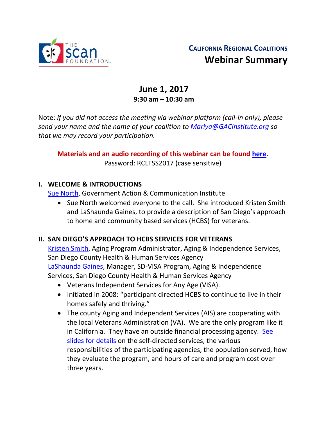

# **CALIFORNIA REGIONAL COALITIONS Webinar Summary**

# **June 1, 2017 9:30 am – 10:30 am**

Note: *If you did not access the meeting via webinar platform (call-in only), please send your name and the name of your coalition to [Mariya@GACInstitute.org](mailto:Mariya@GACInstitute.org) so that we may record your participation.*

**Materials and an audio recording of this webinar can be found [here.](http://www.ccltss.org/members-only/regional-coalition-meeting-materials/)**  Password: RCLTSS2017 (case sensitive)

### **I. WELCOME & INTRODUCTIONS**

[Sue North,](mailto:snorthca@gmail.com) Government Action & Communication Institute

• Sue North welcomed everyone to the call. She introduced Kristen Smith and LaShaunda Gaines, to provide a description of San Diego's approach to home and community based services (HCBS) for veterans.

### **II. SAN DIEGO'S APPROACH TO HCBS SERVICES FOR VETERANS**

[Kristen Smith,](mailto:Kristen.smith@sdcounty.ca.gov) Aging Program Administrator, Aging & Independence Services, San Diego County Health & Human Services Agency [LaShaunda Gaines,](mailto:LaShaunda.Gaines@sdcounty.ca.gov) Manager, SD-VISA Program, Aging & Independence Services, San Diego County Health & Human Services Agency

- Veterans Independent Services for Any Age (VISA).
- Initiated in 2008: "participant directed HCBS to continue to live in their homes safely and thriving."
- The county Aging and Independent Services (AIS) are cooperating with the local Veterans Administration (VA). We are the only program like it in California. They have an outside financial processing agency. [See](http://www.ccltss.org/cc-content-wp/uploads/2016/10/RC_Meeting-Slides_Combined-FINAL.pdf)  [slides for details](http://www.ccltss.org/cc-content-wp/uploads/2016/10/RC_Meeting-Slides_Combined-FINAL.pdf) on the self-directed services, the various responsibilities of the participating agencies, the population served, how they evaluate the program, and hours of care and program cost over three years.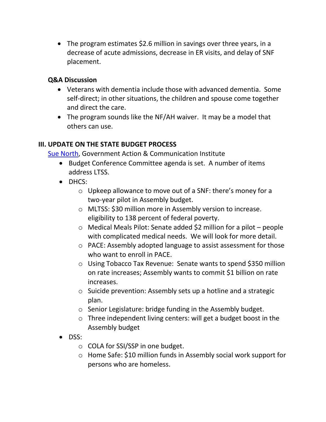• The program estimates \$2.6 million in savings over three years, in a decrease of acute admissions, decrease in ER visits, and delay of SNF placement.

#### **Q&A Discussion**

- Veterans with dementia include those with advanced dementia. Some self-direct; in other situations, the children and spouse come together and direct the care.
- The program sounds like the NF/AH waiver. It may be a model that others can use.

#### **III. UPDATE ON THE STATE BUDGET PROCESS**

[Sue North,](mailto:snorthca@gmail.com) Government Action & Communication Institute

- Budget Conference Committee agenda is set. A number of items address LTSS.
- DHCS:
	- o Upkeep allowance to move out of a SNF: there's money for a two-year pilot in Assembly budget.
	- o MLTSS: \$30 million more in Assembly version to increase. eligibility to 138 percent of federal poverty.
	- o Medical Meals Pilot: Senate added \$2 million for a pilot people with complicated medical needs. We will look for more detail.
	- o PACE: Assembly adopted language to assist assessment for those who want to enroll in PACE.
	- o Using Tobacco Tax Revenue: Senate wants to spend \$350 million on rate increases; Assembly wants to commit \$1 billion on rate increases.
	- o Suicide prevention: Assembly sets up a hotline and a strategic plan.
	- o Senior Legislature: bridge funding in the Assembly budget.
	- o Three independent living centers: will get a budget boost in the Assembly budget
- DSS:
	- o COLA for SSI/SSP in one budget.
	- o Home Safe: \$10 million funds in Assembly social work support for persons who are homeless.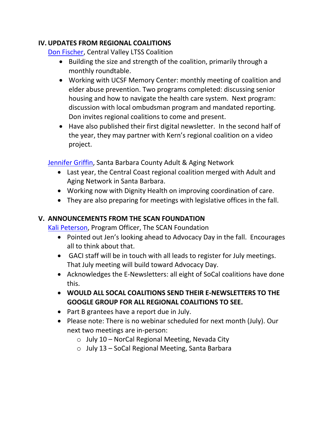### **IV.UPDATES FROM REGIONAL COALITIONS**

[Don Fischer,](mailto:dfmediator@inreach.com) Central Valley LTSS Coalition

- Building the size and strength of the coalition, primarily through a monthly roundtable.
- Working with UCSF Memory Center: monthly meeting of coalition and elder abuse prevention. Two programs completed: discussing senior housing and how to navigate the health care system. Next program: discussion with local ombudsman program and mandated reporting. Don invites regional coalitions to come and present.
- Have also published their first digital newsletter. In the second half of the year, they may partner with Kern's regional coalition on a video project.

[Jennifer Griffin,](mailto:jgriffin@ilrc-trico.org) Santa Barbara County Adult & Aging Network

- Last year, the Central Coast regional coalition merged with Adult and Aging Network in Santa Barbara.
- Working now with Dignity Health on improving coordination of care.
- They are also preparing for meetings with legislative offices in the fall.

## **V. ANNOUNCEMENTS FROM THE SCAN FOUNDATION**

[Kali Peterson,](mailto:kpeterson@thescanfoundation.org) Program Officer, The SCAN Foundation

- Pointed out Jen's looking ahead to Advocacy Day in the fall. Encourages all to think about that.
- GACI staff will be in touch with all leads to register for July meetings. That July meeting will build toward Advocacy Day.
- Acknowledges the E-Newsletters: all eight of SoCal coalitions have done this.
- **WOULD ALL SOCAL COALITIONS SEND THEIR E-NEWSLETTERS TO THE GOOGLE GROUP FOR ALL REGIONAL COALITIONS TO SEE.**
- Part B grantees have a report due in July.
- Please note: There is no webinar scheduled for next month (July). Our next two meetings are in-person:
	- $\circ$  July 10 NorCal Regional Meeting, Nevada City
	- o July 13 SoCal Regional Meeting, Santa Barbara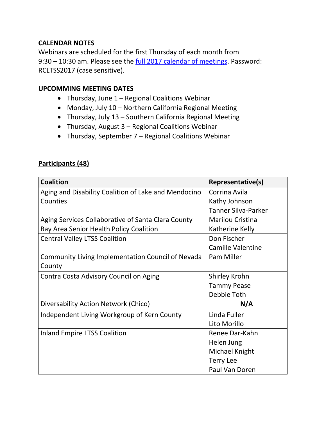#### **CALENDAR NOTES**

Webinars are scheduled for the first Thursday of each month from 9:30 – 10:30 am. Please see the [full 2017 calendar of meetings.](http://www.ccltss.org/cc-content-wp/uploads/2016/10/2017-RC-Meeting-Report-Out-Schedule-1.pdf) Password: RCLTSS2017 (case sensitive).

#### **UPCOMMING MEETING DATES**

- Thursday, June 1 Regional Coalitions Webinar
- Monday, July 10 Northern California Regional Meeting
- Thursday, July 13 Southern California Regional Meeting
- Thursday, August 3 Regional Coalitions Webinar
- Thursday, September 7 Regional Coalitions Webinar

#### **Participants (48)**

| <b>Coalition</b>                                     | Representative(s)   |
|------------------------------------------------------|---------------------|
| Aging and Disability Coalition of Lake and Mendocino | Corrina Avila       |
| Counties                                             | Kathy Johnson       |
|                                                      | Tanner Silva-Parker |
| Aging Services Collaborative of Santa Clara County   | Marilou Cristina    |
| Bay Area Senior Health Policy Coalition              | Katherine Kelly     |
| <b>Central Valley LTSS Coalition</b>                 | Don Fischer         |
|                                                      | Camille Valentine   |
| Community Living Implementation Council of Nevada    | Pam Miller          |
| County                                               |                     |
| Contra Costa Advisory Council on Aging               | Shirley Krohn       |
|                                                      | <b>Tammy Pease</b>  |
|                                                      | Debbie Toth         |
| Diversability Action Network (Chico)                 | N/A                 |
| Independent Living Workgroup of Kern County          | Linda Fuller        |
|                                                      | Lito Morillo        |
| <b>Inland Empire LTSS Coalition</b>                  | Renee Dar-Kahn      |
|                                                      | Helen Jung          |
|                                                      | Michael Knight      |
|                                                      | <b>Terry Lee</b>    |
|                                                      | Paul Van Doren      |